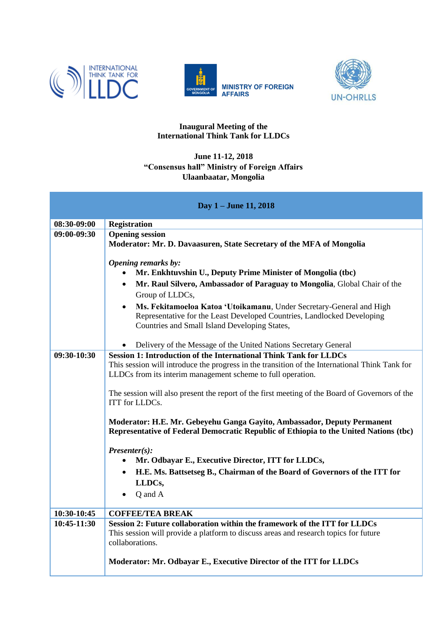





## **Inaugural Meeting of the International Think Tank for LLDCs**

## **June 11-12, 2018 "Consensus hall" Ministry of Foreign Affairs Ulaanbaatar, Mongolia**

| Day 1 - June 11, 2018 |                                                                                                                                                                                                                                                                                                                                                                                                                                                                        |  |
|-----------------------|------------------------------------------------------------------------------------------------------------------------------------------------------------------------------------------------------------------------------------------------------------------------------------------------------------------------------------------------------------------------------------------------------------------------------------------------------------------------|--|
| 08:30-09:00           | <b>Registration</b>                                                                                                                                                                                                                                                                                                                                                                                                                                                    |  |
| 09:00-09:30           | <b>Opening session</b><br>Moderator: Mr. D. Davaasuren, State Secretary of the MFA of Mongolia                                                                                                                                                                                                                                                                                                                                                                         |  |
|                       | Opening remarks by:<br>Mr. Enkhtuvshin U., Deputy Prime Minister of Mongolia (tbc)<br>Mr. Raul Silvero, Ambassador of Paraguay to Mongolia, Global Chair of the<br>$\bullet$<br>Group of LLDCs,<br>Ms. Fekitamoeloa Katoa 'Utoikamanu, Under Secretary-General and High<br>Representative for the Least Developed Countries, Landlocked Developing<br>Countries and Small Island Developing States,<br>Delivery of the Message of the United Nations Secretary General |  |
| 09:30-10:30           | <b>Session 1: Introduction of the International Think Tank for LLDCs</b>                                                                                                                                                                                                                                                                                                                                                                                               |  |
|                       | This session will introduce the progress in the transition of the International Think Tank for<br>LLDCs from its interim management scheme to full operation.<br>The session will also present the report of the first meeting of the Board of Governors of the<br><b>ITT</b> for LLDCs.<br>Moderator: H.E. Mr. Gebeyehu Ganga Gayito, Ambassador, Deputy Permanent<br>Representative of Federal Democratic Republic of Ethiopia to the United Nations (tbc)           |  |
|                       | $Presenter(s)$ :<br>Mr. Odbayar E., Executive Director, ITT for LLDCs,                                                                                                                                                                                                                                                                                                                                                                                                 |  |
|                       | H.E. Ms. Battsetseg B., Chairman of the Board of Governors of the ITT for<br>LLDCs,<br>Q and A                                                                                                                                                                                                                                                                                                                                                                         |  |
| 10:30-10:45           | <b>COFFEE/TEA BREAK</b>                                                                                                                                                                                                                                                                                                                                                                                                                                                |  |
| 10:45-11:30           | Session 2: Future collaboration within the framework of the ITT for LLDCs<br>This session will provide a platform to discuss areas and research topics for future<br>collaborations.                                                                                                                                                                                                                                                                                   |  |
|                       | Moderator: Mr. Odbayar E., Executive Director of the ITT for LLDCs                                                                                                                                                                                                                                                                                                                                                                                                     |  |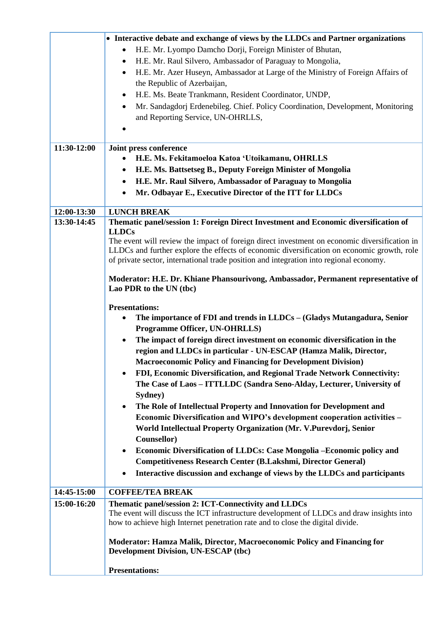| H.E. Mr. Lyompo Damcho Dorji, Foreign Minister of Bhutan,<br>H.E. Mr. Raul Silvero, Ambassador of Paraguay to Mongolia,<br>$\bullet$<br>H.E. Mr. Azer Huseyn, Ambassador at Large of the Ministry of Foreign Affairs of<br>$\bullet$<br>the Republic of Azerbaijan,<br>H.E. Ms. Beate Trankmann, Resident Coordinator, UNDP,<br>٠<br>Mr. Sandagdorj Erdenebileg. Chief. Policy Coordination, Development, Monitoring<br>$\bullet$<br>and Reporting Service, UN-OHRLLS,<br>11:30-12:00<br>Joint press conference<br>H.E. Ms. Fekitamoeloa Katoa 'Utoikamanu, OHRLLS<br>H.E. Ms. Battsetseg B., Deputy Foreign Minister of Mongolia<br>$\bullet$<br>H.E. Mr. Raul Silvero, Ambassador of Paraguay to Mongolia<br>$\bullet$<br>Mr. Odbayar E., Executive Director of the ITT for LLDCs<br>12:00-13:30<br><b>LUNCH BREAK</b><br>Thematic panel/session 1: Foreign Direct Investment and Economic diversification of<br>13:30-14:45<br><b>LLDCs</b><br>The event will review the impact of foreign direct investment on economic diversification in<br>LLDCs and further explore the effects of economic diversification on economic growth, role<br>of private sector, international trade position and integration into regional economy.<br>Moderator: H.E. Dr. Khiane Phansourivong, Ambassador, Permanent representative of<br>Lao PDR to the UN (tbc)<br><b>Presentations:</b><br>The importance of FDI and trends in LLDCs – (Gladys Mutangadura, Senior<br><b>Programme Officer, UN-OHRLLS)</b><br>The impact of foreign direct investment on economic diversification in the<br>region and LLDCs in particular - UN-ESCAP (Hamza Malik, Director,<br><b>Macroeconomic Policy and Financing for Development Division)</b><br>FDI, Economic Diversification, and Regional Trade Network Connectivity:<br>The Case of Laos - ITTLLDC (Sandra Seno-Alday, Lecturer, University of<br>Sydney)<br>The Role of Intellectual Property and Innovation for Development and<br>$\bullet$<br>Economic Diversification and WIPO's development cooperation activities -<br>World Intellectual Property Organization (Mr. V.Purevdorj, Senior<br>Counsellor)<br>Economic Diversification of LLDCs: Case Mongolia - Economic policy and<br>$\bullet$<br><b>Competitiveness Research Center (B.Lakshmi, Director General)</b><br>Interactive discussion and exchange of views by the LLDCs and participants<br><b>COFFEE/TEA BREAK</b><br>14:45-15:00<br>15:00-16:20<br>Thematic panel/session 2: ICT-Connectivity and LLDCs<br>The event will discuss the ICT infrastructure development of LLDCs and draw insights into<br>how to achieve high Internet penetration rate and to close the digital divide.<br><b>Moderator: Hamza Malik, Director, Macroeconomic Policy and Financing for</b><br><b>Development Division, UN-ESCAP (tbc)</b><br><b>Presentations:</b> | • Interactive debate and exchange of views by the LLDCs and Partner organizations |
|-----------------------------------------------------------------------------------------------------------------------------------------------------------------------------------------------------------------------------------------------------------------------------------------------------------------------------------------------------------------------------------------------------------------------------------------------------------------------------------------------------------------------------------------------------------------------------------------------------------------------------------------------------------------------------------------------------------------------------------------------------------------------------------------------------------------------------------------------------------------------------------------------------------------------------------------------------------------------------------------------------------------------------------------------------------------------------------------------------------------------------------------------------------------------------------------------------------------------------------------------------------------------------------------------------------------------------------------------------------------------------------------------------------------------------------------------------------------------------------------------------------------------------------------------------------------------------------------------------------------------------------------------------------------------------------------------------------------------------------------------------------------------------------------------------------------------------------------------------------------------------------------------------------------------------------------------------------------------------------------------------------------------------------------------------------------------------------------------------------------------------------------------------------------------------------------------------------------------------------------------------------------------------------------------------------------------------------------------------------------------------------------------------------------------------------------------------------------------------------------------------------------------------------------------------------------------------------------------------------------------------------------------------------------------------------------------------------------------------------------------------------------------------------------------------------------------------------------------------------|-----------------------------------------------------------------------------------|
|                                                                                                                                                                                                                                                                                                                                                                                                                                                                                                                                                                                                                                                                                                                                                                                                                                                                                                                                                                                                                                                                                                                                                                                                                                                                                                                                                                                                                                                                                                                                                                                                                                                                                                                                                                                                                                                                                                                                                                                                                                                                                                                                                                                                                                                                                                                                                                                                                                                                                                                                                                                                                                                                                                                                                                                                                                                           |                                                                                   |
|                                                                                                                                                                                                                                                                                                                                                                                                                                                                                                                                                                                                                                                                                                                                                                                                                                                                                                                                                                                                                                                                                                                                                                                                                                                                                                                                                                                                                                                                                                                                                                                                                                                                                                                                                                                                                                                                                                                                                                                                                                                                                                                                                                                                                                                                                                                                                                                                                                                                                                                                                                                                                                                                                                                                                                                                                                                           |                                                                                   |
|                                                                                                                                                                                                                                                                                                                                                                                                                                                                                                                                                                                                                                                                                                                                                                                                                                                                                                                                                                                                                                                                                                                                                                                                                                                                                                                                                                                                                                                                                                                                                                                                                                                                                                                                                                                                                                                                                                                                                                                                                                                                                                                                                                                                                                                                                                                                                                                                                                                                                                                                                                                                                                                                                                                                                                                                                                                           |                                                                                   |
|                                                                                                                                                                                                                                                                                                                                                                                                                                                                                                                                                                                                                                                                                                                                                                                                                                                                                                                                                                                                                                                                                                                                                                                                                                                                                                                                                                                                                                                                                                                                                                                                                                                                                                                                                                                                                                                                                                                                                                                                                                                                                                                                                                                                                                                                                                                                                                                                                                                                                                                                                                                                                                                                                                                                                                                                                                                           |                                                                                   |
|                                                                                                                                                                                                                                                                                                                                                                                                                                                                                                                                                                                                                                                                                                                                                                                                                                                                                                                                                                                                                                                                                                                                                                                                                                                                                                                                                                                                                                                                                                                                                                                                                                                                                                                                                                                                                                                                                                                                                                                                                                                                                                                                                                                                                                                                                                                                                                                                                                                                                                                                                                                                                                                                                                                                                                                                                                                           |                                                                                   |
|                                                                                                                                                                                                                                                                                                                                                                                                                                                                                                                                                                                                                                                                                                                                                                                                                                                                                                                                                                                                                                                                                                                                                                                                                                                                                                                                                                                                                                                                                                                                                                                                                                                                                                                                                                                                                                                                                                                                                                                                                                                                                                                                                                                                                                                                                                                                                                                                                                                                                                                                                                                                                                                                                                                                                                                                                                                           |                                                                                   |
|                                                                                                                                                                                                                                                                                                                                                                                                                                                                                                                                                                                                                                                                                                                                                                                                                                                                                                                                                                                                                                                                                                                                                                                                                                                                                                                                                                                                                                                                                                                                                                                                                                                                                                                                                                                                                                                                                                                                                                                                                                                                                                                                                                                                                                                                                                                                                                                                                                                                                                                                                                                                                                                                                                                                                                                                                                                           |                                                                                   |
|                                                                                                                                                                                                                                                                                                                                                                                                                                                                                                                                                                                                                                                                                                                                                                                                                                                                                                                                                                                                                                                                                                                                                                                                                                                                                                                                                                                                                                                                                                                                                                                                                                                                                                                                                                                                                                                                                                                                                                                                                                                                                                                                                                                                                                                                                                                                                                                                                                                                                                                                                                                                                                                                                                                                                                                                                                                           |                                                                                   |
|                                                                                                                                                                                                                                                                                                                                                                                                                                                                                                                                                                                                                                                                                                                                                                                                                                                                                                                                                                                                                                                                                                                                                                                                                                                                                                                                                                                                                                                                                                                                                                                                                                                                                                                                                                                                                                                                                                                                                                                                                                                                                                                                                                                                                                                                                                                                                                                                                                                                                                                                                                                                                                                                                                                                                                                                                                                           |                                                                                   |
|                                                                                                                                                                                                                                                                                                                                                                                                                                                                                                                                                                                                                                                                                                                                                                                                                                                                                                                                                                                                                                                                                                                                                                                                                                                                                                                                                                                                                                                                                                                                                                                                                                                                                                                                                                                                                                                                                                                                                                                                                                                                                                                                                                                                                                                                                                                                                                                                                                                                                                                                                                                                                                                                                                                                                                                                                                                           |                                                                                   |
|                                                                                                                                                                                                                                                                                                                                                                                                                                                                                                                                                                                                                                                                                                                                                                                                                                                                                                                                                                                                                                                                                                                                                                                                                                                                                                                                                                                                                                                                                                                                                                                                                                                                                                                                                                                                                                                                                                                                                                                                                                                                                                                                                                                                                                                                                                                                                                                                                                                                                                                                                                                                                                                                                                                                                                                                                                                           |                                                                                   |
|                                                                                                                                                                                                                                                                                                                                                                                                                                                                                                                                                                                                                                                                                                                                                                                                                                                                                                                                                                                                                                                                                                                                                                                                                                                                                                                                                                                                                                                                                                                                                                                                                                                                                                                                                                                                                                                                                                                                                                                                                                                                                                                                                                                                                                                                                                                                                                                                                                                                                                                                                                                                                                                                                                                                                                                                                                                           |                                                                                   |
|                                                                                                                                                                                                                                                                                                                                                                                                                                                                                                                                                                                                                                                                                                                                                                                                                                                                                                                                                                                                                                                                                                                                                                                                                                                                                                                                                                                                                                                                                                                                                                                                                                                                                                                                                                                                                                                                                                                                                                                                                                                                                                                                                                                                                                                                                                                                                                                                                                                                                                                                                                                                                                                                                                                                                                                                                                                           |                                                                                   |
|                                                                                                                                                                                                                                                                                                                                                                                                                                                                                                                                                                                                                                                                                                                                                                                                                                                                                                                                                                                                                                                                                                                                                                                                                                                                                                                                                                                                                                                                                                                                                                                                                                                                                                                                                                                                                                                                                                                                                                                                                                                                                                                                                                                                                                                                                                                                                                                                                                                                                                                                                                                                                                                                                                                                                                                                                                                           |                                                                                   |
|                                                                                                                                                                                                                                                                                                                                                                                                                                                                                                                                                                                                                                                                                                                                                                                                                                                                                                                                                                                                                                                                                                                                                                                                                                                                                                                                                                                                                                                                                                                                                                                                                                                                                                                                                                                                                                                                                                                                                                                                                                                                                                                                                                                                                                                                                                                                                                                                                                                                                                                                                                                                                                                                                                                                                                                                                                                           |                                                                                   |
|                                                                                                                                                                                                                                                                                                                                                                                                                                                                                                                                                                                                                                                                                                                                                                                                                                                                                                                                                                                                                                                                                                                                                                                                                                                                                                                                                                                                                                                                                                                                                                                                                                                                                                                                                                                                                                                                                                                                                                                                                                                                                                                                                                                                                                                                                                                                                                                                                                                                                                                                                                                                                                                                                                                                                                                                                                                           |                                                                                   |
|                                                                                                                                                                                                                                                                                                                                                                                                                                                                                                                                                                                                                                                                                                                                                                                                                                                                                                                                                                                                                                                                                                                                                                                                                                                                                                                                                                                                                                                                                                                                                                                                                                                                                                                                                                                                                                                                                                                                                                                                                                                                                                                                                                                                                                                                                                                                                                                                                                                                                                                                                                                                                                                                                                                                                                                                                                                           |                                                                                   |
|                                                                                                                                                                                                                                                                                                                                                                                                                                                                                                                                                                                                                                                                                                                                                                                                                                                                                                                                                                                                                                                                                                                                                                                                                                                                                                                                                                                                                                                                                                                                                                                                                                                                                                                                                                                                                                                                                                                                                                                                                                                                                                                                                                                                                                                                                                                                                                                                                                                                                                                                                                                                                                                                                                                                                                                                                                                           |                                                                                   |
|                                                                                                                                                                                                                                                                                                                                                                                                                                                                                                                                                                                                                                                                                                                                                                                                                                                                                                                                                                                                                                                                                                                                                                                                                                                                                                                                                                                                                                                                                                                                                                                                                                                                                                                                                                                                                                                                                                                                                                                                                                                                                                                                                                                                                                                                                                                                                                                                                                                                                                                                                                                                                                                                                                                                                                                                                                                           |                                                                                   |
|                                                                                                                                                                                                                                                                                                                                                                                                                                                                                                                                                                                                                                                                                                                                                                                                                                                                                                                                                                                                                                                                                                                                                                                                                                                                                                                                                                                                                                                                                                                                                                                                                                                                                                                                                                                                                                                                                                                                                                                                                                                                                                                                                                                                                                                                                                                                                                                                                                                                                                                                                                                                                                                                                                                                                                                                                                                           |                                                                                   |
|                                                                                                                                                                                                                                                                                                                                                                                                                                                                                                                                                                                                                                                                                                                                                                                                                                                                                                                                                                                                                                                                                                                                                                                                                                                                                                                                                                                                                                                                                                                                                                                                                                                                                                                                                                                                                                                                                                                                                                                                                                                                                                                                                                                                                                                                                                                                                                                                                                                                                                                                                                                                                                                                                                                                                                                                                                                           |                                                                                   |
|                                                                                                                                                                                                                                                                                                                                                                                                                                                                                                                                                                                                                                                                                                                                                                                                                                                                                                                                                                                                                                                                                                                                                                                                                                                                                                                                                                                                                                                                                                                                                                                                                                                                                                                                                                                                                                                                                                                                                                                                                                                                                                                                                                                                                                                                                                                                                                                                                                                                                                                                                                                                                                                                                                                                                                                                                                                           |                                                                                   |
|                                                                                                                                                                                                                                                                                                                                                                                                                                                                                                                                                                                                                                                                                                                                                                                                                                                                                                                                                                                                                                                                                                                                                                                                                                                                                                                                                                                                                                                                                                                                                                                                                                                                                                                                                                                                                                                                                                                                                                                                                                                                                                                                                                                                                                                                                                                                                                                                                                                                                                                                                                                                                                                                                                                                                                                                                                                           |                                                                                   |
|                                                                                                                                                                                                                                                                                                                                                                                                                                                                                                                                                                                                                                                                                                                                                                                                                                                                                                                                                                                                                                                                                                                                                                                                                                                                                                                                                                                                                                                                                                                                                                                                                                                                                                                                                                                                                                                                                                                                                                                                                                                                                                                                                                                                                                                                                                                                                                                                                                                                                                                                                                                                                                                                                                                                                                                                                                                           |                                                                                   |
|                                                                                                                                                                                                                                                                                                                                                                                                                                                                                                                                                                                                                                                                                                                                                                                                                                                                                                                                                                                                                                                                                                                                                                                                                                                                                                                                                                                                                                                                                                                                                                                                                                                                                                                                                                                                                                                                                                                                                                                                                                                                                                                                                                                                                                                                                                                                                                                                                                                                                                                                                                                                                                                                                                                                                                                                                                                           |                                                                                   |
|                                                                                                                                                                                                                                                                                                                                                                                                                                                                                                                                                                                                                                                                                                                                                                                                                                                                                                                                                                                                                                                                                                                                                                                                                                                                                                                                                                                                                                                                                                                                                                                                                                                                                                                                                                                                                                                                                                                                                                                                                                                                                                                                                                                                                                                                                                                                                                                                                                                                                                                                                                                                                                                                                                                                                                                                                                                           |                                                                                   |
|                                                                                                                                                                                                                                                                                                                                                                                                                                                                                                                                                                                                                                                                                                                                                                                                                                                                                                                                                                                                                                                                                                                                                                                                                                                                                                                                                                                                                                                                                                                                                                                                                                                                                                                                                                                                                                                                                                                                                                                                                                                                                                                                                                                                                                                                                                                                                                                                                                                                                                                                                                                                                                                                                                                                                                                                                                                           |                                                                                   |
|                                                                                                                                                                                                                                                                                                                                                                                                                                                                                                                                                                                                                                                                                                                                                                                                                                                                                                                                                                                                                                                                                                                                                                                                                                                                                                                                                                                                                                                                                                                                                                                                                                                                                                                                                                                                                                                                                                                                                                                                                                                                                                                                                                                                                                                                                                                                                                                                                                                                                                                                                                                                                                                                                                                                                                                                                                                           |                                                                                   |
|                                                                                                                                                                                                                                                                                                                                                                                                                                                                                                                                                                                                                                                                                                                                                                                                                                                                                                                                                                                                                                                                                                                                                                                                                                                                                                                                                                                                                                                                                                                                                                                                                                                                                                                                                                                                                                                                                                                                                                                                                                                                                                                                                                                                                                                                                                                                                                                                                                                                                                                                                                                                                                                                                                                                                                                                                                                           |                                                                                   |
|                                                                                                                                                                                                                                                                                                                                                                                                                                                                                                                                                                                                                                                                                                                                                                                                                                                                                                                                                                                                                                                                                                                                                                                                                                                                                                                                                                                                                                                                                                                                                                                                                                                                                                                                                                                                                                                                                                                                                                                                                                                                                                                                                                                                                                                                                                                                                                                                                                                                                                                                                                                                                                                                                                                                                                                                                                                           |                                                                                   |
|                                                                                                                                                                                                                                                                                                                                                                                                                                                                                                                                                                                                                                                                                                                                                                                                                                                                                                                                                                                                                                                                                                                                                                                                                                                                                                                                                                                                                                                                                                                                                                                                                                                                                                                                                                                                                                                                                                                                                                                                                                                                                                                                                                                                                                                                                                                                                                                                                                                                                                                                                                                                                                                                                                                                                                                                                                                           |                                                                                   |
|                                                                                                                                                                                                                                                                                                                                                                                                                                                                                                                                                                                                                                                                                                                                                                                                                                                                                                                                                                                                                                                                                                                                                                                                                                                                                                                                                                                                                                                                                                                                                                                                                                                                                                                                                                                                                                                                                                                                                                                                                                                                                                                                                                                                                                                                                                                                                                                                                                                                                                                                                                                                                                                                                                                                                                                                                                                           |                                                                                   |
|                                                                                                                                                                                                                                                                                                                                                                                                                                                                                                                                                                                                                                                                                                                                                                                                                                                                                                                                                                                                                                                                                                                                                                                                                                                                                                                                                                                                                                                                                                                                                                                                                                                                                                                                                                                                                                                                                                                                                                                                                                                                                                                                                                                                                                                                                                                                                                                                                                                                                                                                                                                                                                                                                                                                                                                                                                                           |                                                                                   |
|                                                                                                                                                                                                                                                                                                                                                                                                                                                                                                                                                                                                                                                                                                                                                                                                                                                                                                                                                                                                                                                                                                                                                                                                                                                                                                                                                                                                                                                                                                                                                                                                                                                                                                                                                                                                                                                                                                                                                                                                                                                                                                                                                                                                                                                                                                                                                                                                                                                                                                                                                                                                                                                                                                                                                                                                                                                           |                                                                                   |
|                                                                                                                                                                                                                                                                                                                                                                                                                                                                                                                                                                                                                                                                                                                                                                                                                                                                                                                                                                                                                                                                                                                                                                                                                                                                                                                                                                                                                                                                                                                                                                                                                                                                                                                                                                                                                                                                                                                                                                                                                                                                                                                                                                                                                                                                                                                                                                                                                                                                                                                                                                                                                                                                                                                                                                                                                                                           |                                                                                   |
|                                                                                                                                                                                                                                                                                                                                                                                                                                                                                                                                                                                                                                                                                                                                                                                                                                                                                                                                                                                                                                                                                                                                                                                                                                                                                                                                                                                                                                                                                                                                                                                                                                                                                                                                                                                                                                                                                                                                                                                                                                                                                                                                                                                                                                                                                                                                                                                                                                                                                                                                                                                                                                                                                                                                                                                                                                                           |                                                                                   |
|                                                                                                                                                                                                                                                                                                                                                                                                                                                                                                                                                                                                                                                                                                                                                                                                                                                                                                                                                                                                                                                                                                                                                                                                                                                                                                                                                                                                                                                                                                                                                                                                                                                                                                                                                                                                                                                                                                                                                                                                                                                                                                                                                                                                                                                                                                                                                                                                                                                                                                                                                                                                                                                                                                                                                                                                                                                           |                                                                                   |
|                                                                                                                                                                                                                                                                                                                                                                                                                                                                                                                                                                                                                                                                                                                                                                                                                                                                                                                                                                                                                                                                                                                                                                                                                                                                                                                                                                                                                                                                                                                                                                                                                                                                                                                                                                                                                                                                                                                                                                                                                                                                                                                                                                                                                                                                                                                                                                                                                                                                                                                                                                                                                                                                                                                                                                                                                                                           |                                                                                   |
|                                                                                                                                                                                                                                                                                                                                                                                                                                                                                                                                                                                                                                                                                                                                                                                                                                                                                                                                                                                                                                                                                                                                                                                                                                                                                                                                                                                                                                                                                                                                                                                                                                                                                                                                                                                                                                                                                                                                                                                                                                                                                                                                                                                                                                                                                                                                                                                                                                                                                                                                                                                                                                                                                                                                                                                                                                                           |                                                                                   |
|                                                                                                                                                                                                                                                                                                                                                                                                                                                                                                                                                                                                                                                                                                                                                                                                                                                                                                                                                                                                                                                                                                                                                                                                                                                                                                                                                                                                                                                                                                                                                                                                                                                                                                                                                                                                                                                                                                                                                                                                                                                                                                                                                                                                                                                                                                                                                                                                                                                                                                                                                                                                                                                                                                                                                                                                                                                           |                                                                                   |
|                                                                                                                                                                                                                                                                                                                                                                                                                                                                                                                                                                                                                                                                                                                                                                                                                                                                                                                                                                                                                                                                                                                                                                                                                                                                                                                                                                                                                                                                                                                                                                                                                                                                                                                                                                                                                                                                                                                                                                                                                                                                                                                                                                                                                                                                                                                                                                                                                                                                                                                                                                                                                                                                                                                                                                                                                                                           |                                                                                   |
|                                                                                                                                                                                                                                                                                                                                                                                                                                                                                                                                                                                                                                                                                                                                                                                                                                                                                                                                                                                                                                                                                                                                                                                                                                                                                                                                                                                                                                                                                                                                                                                                                                                                                                                                                                                                                                                                                                                                                                                                                                                                                                                                                                                                                                                                                                                                                                                                                                                                                                                                                                                                                                                                                                                                                                                                                                                           |                                                                                   |
|                                                                                                                                                                                                                                                                                                                                                                                                                                                                                                                                                                                                                                                                                                                                                                                                                                                                                                                                                                                                                                                                                                                                                                                                                                                                                                                                                                                                                                                                                                                                                                                                                                                                                                                                                                                                                                                                                                                                                                                                                                                                                                                                                                                                                                                                                                                                                                                                                                                                                                                                                                                                                                                                                                                                                                                                                                                           |                                                                                   |
|                                                                                                                                                                                                                                                                                                                                                                                                                                                                                                                                                                                                                                                                                                                                                                                                                                                                                                                                                                                                                                                                                                                                                                                                                                                                                                                                                                                                                                                                                                                                                                                                                                                                                                                                                                                                                                                                                                                                                                                                                                                                                                                                                                                                                                                                                                                                                                                                                                                                                                                                                                                                                                                                                                                                                                                                                                                           |                                                                                   |
|                                                                                                                                                                                                                                                                                                                                                                                                                                                                                                                                                                                                                                                                                                                                                                                                                                                                                                                                                                                                                                                                                                                                                                                                                                                                                                                                                                                                                                                                                                                                                                                                                                                                                                                                                                                                                                                                                                                                                                                                                                                                                                                                                                                                                                                                                                                                                                                                                                                                                                                                                                                                                                                                                                                                                                                                                                                           |                                                                                   |
|                                                                                                                                                                                                                                                                                                                                                                                                                                                                                                                                                                                                                                                                                                                                                                                                                                                                                                                                                                                                                                                                                                                                                                                                                                                                                                                                                                                                                                                                                                                                                                                                                                                                                                                                                                                                                                                                                                                                                                                                                                                                                                                                                                                                                                                                                                                                                                                                                                                                                                                                                                                                                                                                                                                                                                                                                                                           |                                                                                   |
|                                                                                                                                                                                                                                                                                                                                                                                                                                                                                                                                                                                                                                                                                                                                                                                                                                                                                                                                                                                                                                                                                                                                                                                                                                                                                                                                                                                                                                                                                                                                                                                                                                                                                                                                                                                                                                                                                                                                                                                                                                                                                                                                                                                                                                                                                                                                                                                                                                                                                                                                                                                                                                                                                                                                                                                                                                                           |                                                                                   |
|                                                                                                                                                                                                                                                                                                                                                                                                                                                                                                                                                                                                                                                                                                                                                                                                                                                                                                                                                                                                                                                                                                                                                                                                                                                                                                                                                                                                                                                                                                                                                                                                                                                                                                                                                                                                                                                                                                                                                                                                                                                                                                                                                                                                                                                                                                                                                                                                                                                                                                                                                                                                                                                                                                                                                                                                                                                           |                                                                                   |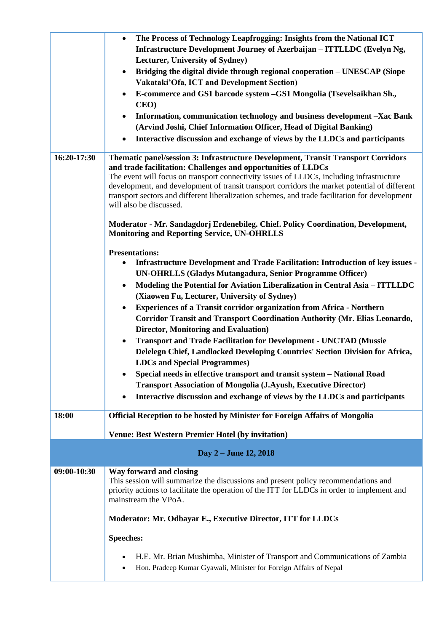|             | The Process of Technology Leapfrogging: Insights from the National ICT<br>$\bullet$                                                                                                                                                                                                                                                                                                                                                                                          |
|-------------|------------------------------------------------------------------------------------------------------------------------------------------------------------------------------------------------------------------------------------------------------------------------------------------------------------------------------------------------------------------------------------------------------------------------------------------------------------------------------|
|             | Infrastructure Development Journey of Azerbaijan - ITTLLDC (Evelyn Ng,                                                                                                                                                                                                                                                                                                                                                                                                       |
|             | Lecturer, University of Sydney)                                                                                                                                                                                                                                                                                                                                                                                                                                              |
|             | Bridging the digital divide through regional cooperation - UNESCAP (Siope<br>$\bullet$                                                                                                                                                                                                                                                                                                                                                                                       |
|             | Vakataki'Ofa, ICT and Development Section)                                                                                                                                                                                                                                                                                                                                                                                                                                   |
|             | E-commerce and GS1 barcode system -GS1 Mongolia (Tsevelsaikhan Sh.,                                                                                                                                                                                                                                                                                                                                                                                                          |
|             | CEO)                                                                                                                                                                                                                                                                                                                                                                                                                                                                         |
|             | Information, communication technology and business development -Xac Bank                                                                                                                                                                                                                                                                                                                                                                                                     |
|             | (Arvind Joshi, Chief Information Officer, Head of Digital Banking)                                                                                                                                                                                                                                                                                                                                                                                                           |
|             | Interactive discussion and exchange of views by the LLDCs and participants                                                                                                                                                                                                                                                                                                                                                                                                   |
| 16:20-17:30 | Thematic panel/session 3: Infrastructure Development, Transit Transport Corridors<br>and trade facilitation: Challenges and opportunities of LLDCs<br>The event will focus on transport connectivity issues of LLDCs, including infrastructure<br>development, and development of transit transport corridors the market potential of different<br>transport sectors and different liberalization schemes, and trade facilitation for development<br>will also be discussed. |
|             | Moderator - Mr. Sandagdorj Erdenebileg. Chief. Policy Coordination, Development,<br><b>Monitoring and Reporting Service, UN-OHRLLS</b>                                                                                                                                                                                                                                                                                                                                       |
|             | <b>Presentations:</b>                                                                                                                                                                                                                                                                                                                                                                                                                                                        |
|             | Infrastructure Development and Trade Facilitation: Introduction of key issues -<br>٠                                                                                                                                                                                                                                                                                                                                                                                         |
|             | <b>UN-OHRLLS (Gladys Mutangadura, Senior Programme Officer)</b>                                                                                                                                                                                                                                                                                                                                                                                                              |
|             | Modeling the Potential for Aviation Liberalization in Central Asia - ITTLLDC<br>$\bullet$                                                                                                                                                                                                                                                                                                                                                                                    |
|             | (Xiaowen Fu, Lecturer, University of Sydney)                                                                                                                                                                                                                                                                                                                                                                                                                                 |
|             | <b>Experiences of a Transit corridor organization from Africa - Northern</b><br>$\bullet$<br>Corridor Transit and Transport Coordination Authority (Mr. Elias Leonardo,                                                                                                                                                                                                                                                                                                      |
|             | <b>Director, Monitoring and Evaluation)</b>                                                                                                                                                                                                                                                                                                                                                                                                                                  |
|             | <b>Transport and Trade Facilitation for Development - UNCTAD (Mussie</b><br>$\bullet$                                                                                                                                                                                                                                                                                                                                                                                        |
|             | Delelegn Chief, Landlocked Developing Countries' Section Division for Africa,                                                                                                                                                                                                                                                                                                                                                                                                |
|             | <b>LDCs and Special Programmes)</b>                                                                                                                                                                                                                                                                                                                                                                                                                                          |
|             | Special needs in effective transport and transit system - National Road                                                                                                                                                                                                                                                                                                                                                                                                      |
|             | <b>Transport Association of Mongolia (J.Ayush, Executive Director)</b>                                                                                                                                                                                                                                                                                                                                                                                                       |
|             | Interactive discussion and exchange of views by the LLDCs and participants<br>$\bullet$                                                                                                                                                                                                                                                                                                                                                                                      |
|             |                                                                                                                                                                                                                                                                                                                                                                                                                                                                              |
| 18:00       | <b>Official Reception to be hosted by Minister for Foreign Affairs of Mongolia</b>                                                                                                                                                                                                                                                                                                                                                                                           |
|             | <b>Venue: Best Western Premier Hotel (by invitation)</b>                                                                                                                                                                                                                                                                                                                                                                                                                     |
|             | Day 2 – June 12, 2018                                                                                                                                                                                                                                                                                                                                                                                                                                                        |
| 09:00-10:30 | Way forward and closing                                                                                                                                                                                                                                                                                                                                                                                                                                                      |
|             | This session will summarize the discussions and present policy recommendations and<br>priority actions to facilitate the operation of the ITT for LLDCs in order to implement and<br>mainstream the VPoA.                                                                                                                                                                                                                                                                    |
|             | Moderator: Mr. Odbayar E., Executive Director, ITT for LLDCs                                                                                                                                                                                                                                                                                                                                                                                                                 |
|             | <b>Speeches:</b>                                                                                                                                                                                                                                                                                                                                                                                                                                                             |
|             | H.E. Mr. Brian Mushimba, Minister of Transport and Communications of Zambia<br>Hon. Pradeep Kumar Gyawali, Minister for Foreign Affairs of Nepal                                                                                                                                                                                                                                                                                                                             |